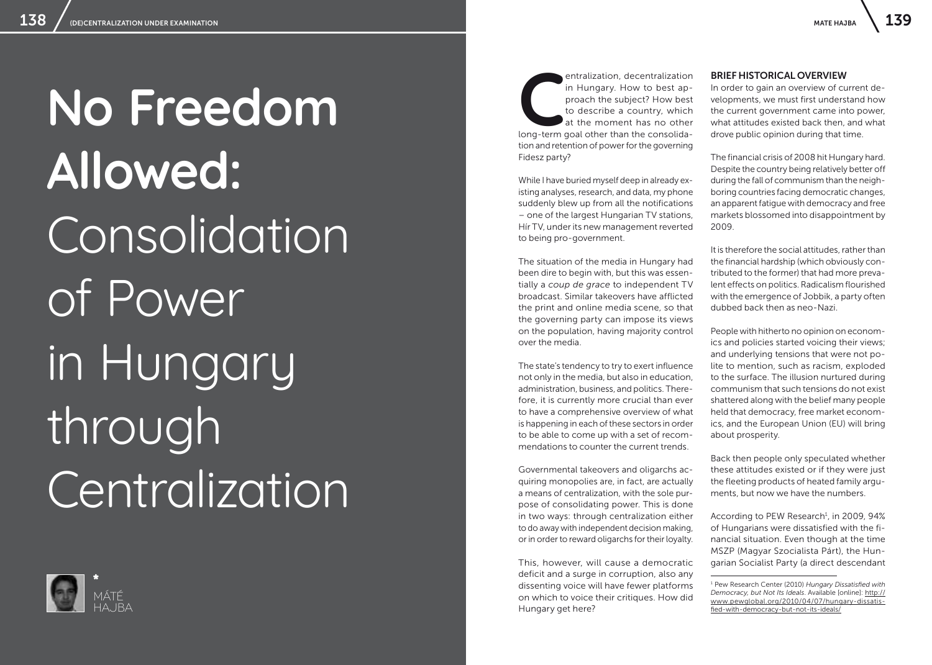# **No Freedom Allowed:** Consolidation of Power in Hungary through **Centralization**



**CENT CONCORRED CONSOLER THE CONSOLER SERVICE SCHOOLS A** the moment has no other long-term goal other than the consolidain Hungary. How to best ap proach the subject? How best to describe a country, which at the moment has no other tion and retention of power for the governing Fidesz party?

While I have buried myself deep in already ex isting analyses, research, and data, my phone suddenly blew up from all the notifications – one of the largest Hungarian TV stations, Hír TV, under its new management reverted to being pro-government.

The situation of the media in Hungary had been dire to begin with, but this was essen tially a *coup de grace* to independent TV broadcast. Similar takeovers have afflicted the print and online media scene, so that the governing party can impose its views on the population, having majority control over the media.

The state's tendency to try to exert influence not only in the media, but also in education, administration, business, and politics. There fore, it is currently more crucial than ever to have a comprehensive overview of what is happening in each of these sectors in order to be able to come up with a set of recom mendations to counter the current trends.

Governmental takeovers and oligarchs ac quiring monopolies are, in fact, are actually a means of centralization, with the sole pur pose of consolidating power. This is done in two ways: through centralization either to do away with independent decision making, or in order to reward oligarchs for their loyalty.

This, however, will cause a democratic deficit and a surge in corruption, also any dissenting voice will have fewer platforms on which to voice their critiques. How did Hungary get here?

## BRIEF HISTORICAL OVERVIEW

In order to gain an overview of current de velopments, we must first understand how the current government came into power, what attitudes existed back then, and what drove public opinion during that time.

The financial crisis of 2008 hit Hungary hard. Despite the country being relatively better off during the fall of communism than the neigh boring countries facing democratic changes, an apparent fatigue with democracy and free markets blossomed into disappointment by 2009.

It is therefore the social attitudes, rather than the financial hardship (which obviously con tributed to the former) that had more preva lent effects on politics. Radicalism flourished with the emergence of Jobbik, a party often dubbed back then as neo-Nazi.

People with hitherto no opinion on econom ics and policies started voicing their views; and underlying tensions that were not po lite to mention, such as racism, exploded to the surface. The illusion nurtured during communism that such tensions do not exist shattered along with the belief many people held that democracy, free market econom ics, and the European Union (EU) will bring about prosperity.

Back then people only speculated whether these attitudes existed or if they were just the fleeting products of heated family argu ments, but now we have the numbers.

According to PEW Research 1 , in 2009, 94% of Hungarians were dissatisfied with the fi nancial situation. Even though at the time MSZP (Magyar Szocialista Párt), the Hun garian Socialist Party (a direct descendant<br>
<del>1 Pew Research Center</del> (2010) *Hungary Dissatisfied with* 

*Democracy, but Not Its Ideals*. Available [online]: [http://](http://www.pewglobal.org/2010/04/07/hungary-dissatisfied-with-democracy-but-not-its-ideals/) [www.pewglobal.org/2010/04/07/hungary-dissatis](http://www.pewglobal.org/2010/04/07/hungary-dissatisfied-with-democracy-but-not-its-ideals/) [fied-with-democracy-but-not-its-ideals/](http://www.pewglobal.org/2010/04/07/hungary-dissatisfied-with-democracy-but-not-its-ideals/)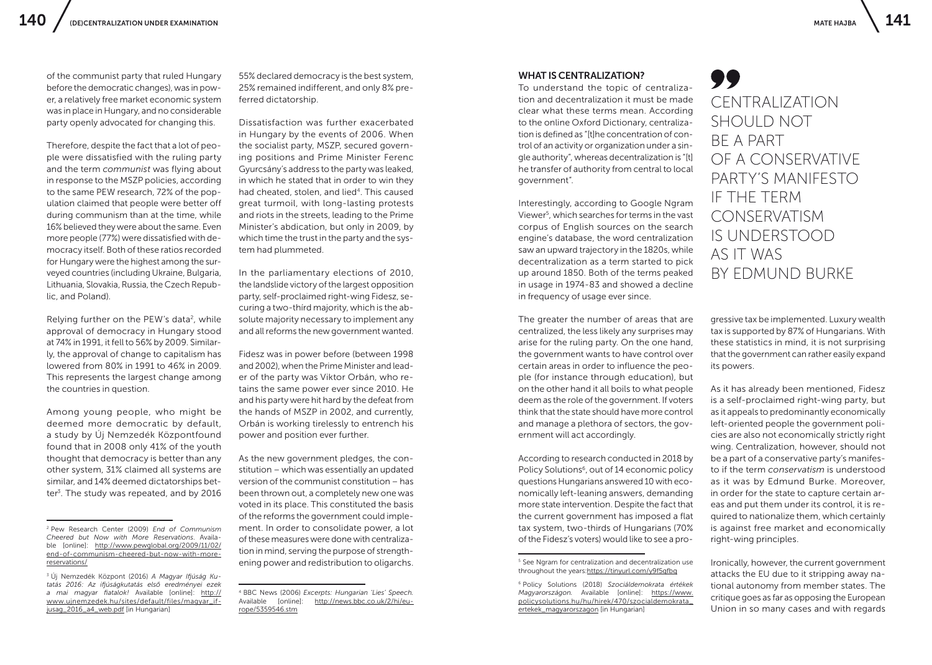of the communist party that ruled Hungary before the democratic changes), was in power, a relatively free market economic system was in place in Hungary, and no considerable party openly advocated for changing this.

Therefore, despite the fact that a lot of people were dissatisfied with the ruling party and the term *communist* was flying about in response to the MSZP policies, according to the same PEW research, 72% of the population claimed that people were better off during communism than at the time, while 16% believed they were about the same. Even more people (77%) were dissatisfied with democracy itself. Both of these ratios recorded for Hungary were the highest among the surveyed countries (including Ukraine, Bulgaria, Lithuania, Slovakia, Russia, the Czech Republic, and Poland).

Relying further on the PEW's data<sup>2</sup>, while approval of democracy in Hungary stood at 74% in 1991, it fell to 56% by 2009. Similarly, the approval of change to capitalism has lowered from 80% in 1991 to 46% in 2009. This represents the largest change among the countries in question.

Among young people, who might be deemed more democratic by default, a study by Új Nemzedék Központfound found that in 2008 only 41% of the youth thought that democracy is better than any other system, 31% claimed all systems are similar, and 14% deemed dictatorships better<sup>3</sup>. The study was repeated, and by 2016

55% declared democracy is the best system, 25% remained indifferent, and only 8% preferred dictatorship.

Dissatisfaction was further exacerbated in Hungary by the events of 2006. When the socialist party, MSZP, secured governing positions and Prime Minister Ferenc Gyurcsány's address to the party was leaked, in which he stated that in order to win they had cheated, stolen, and lied<sup>4</sup>. This caused great turmoil, with long-lasting protests and riots in the streets, leading to the Prime Minister's abdication, but only in 2009, by which time the trust in the party and the system had plummeted.

In the parliamentary elections of 2010, the landslide victory of the largest opposition party, self-proclaimed right-wing Fidesz, securing a two-thírd majority, which is the absolute majority necessary to implement any and all reforms the new government wanted.

Fidesz was in power before (between 1998 and 2002), when the Prime Minister and leader of the party was Viktor Orbán, who retains the same power ever since 2010. He and his party were hit hard by the defeat from the hands of MSZP in 2002, and currently, Orbán is working tirelessly to entrench his power and position ever further.

As the new government pledges, the constitution – which was essentially an updated version of the communist constitution – has been thrown out, a completely new one was voted in its place. This constituted the basis of the reforms the government could implement. In order to consolidate power, a lot of these measures were done with centralization in mind, serving the purpose of strengthening power and redistribution to oligarchs.

#### WHAT IS CENTRALIZATION?

To understand the topic of centralization and decentralization it must be made clear what these terms mean. According to the online Oxford Dictionary, centralization is defined as "[t]he concentration of control of an activity or organization under a single authority", whereas decentralization is "[t] he transfer of authority from central to local government".

Interestingly, according to Google Ngram Viewer5, which searches for terms in the vast corpus of English sources on the search engine's database, the word centralization saw an upward trajectory in the 1820s, while decentralization as a term started to pick up around 1850. Both of the terms peaked in usage in 1974-83 and showed a decline in frequency of usage ever since.

The greater the number of areas that are centralized, the less likely any surprises may arise for the ruling party. On the one hand, the government wants to have control over certain areas in order to influence the people (for instance through education), but on the other hand it all boils to what people deem as the role of the government. If voters think that the state should have more control and manage a plethora of sectors, the government will act accordingly.

According to research conducted in 2018 by Policy Solutions<sup>6</sup>, out of 14 economic policy questions Hungarians answered 10 with economically left-leaning answers, demanding more state intervention. Despite the fact that the current government has imposed a flat tax system, two-thirds of Hungarians (70% of the Fidesz's voters) would like to see a pro-



gressive tax be implemented. Luxury wealth tax is supported by 87% of Hungarians. With these statistics in mind, it is not surprising that the government can rather easily expand its powers.

As it has already been mentioned, Fidesz is a self-proclaimed right-wing party, but as it appeals to predominantly economically left-oriented people the government policies are also not economically strictly right wing. Centralization, however, should not be a part of a conservative party's manifesto if the term *conservatism* is understood as it was by Edmund Burke. Moreover, in order for the state to capture certain areas and put them under its control, it is required to nationalize them, which certainly is against free market and economically right-wing principles.

Ironically, however, the current government attacks the EU due to it stripping away national autonomy from member states. The critique goes as far as opposing the European Union in so many cases and with regards

<sup>2</sup> Pew Research Center (2009) *End of Communism Cheered but Now with More Reservations*. Available [online]: [http://www.pewglobal.org/2009/11/02/](http://www.pewglobal.org/2009/11/02/end-of-communism-cheered-but-now-with-more-reservations/) [end-of-communism-cheered-but-now-with-more](http://www.pewglobal.org/2009/11/02/end-of-communism-cheered-but-now-with-more-reservations/)[reservations/](http://www.pewglobal.org/2009/11/02/end-of-communism-cheered-but-now-with-more-reservations/)

<sup>3</sup> Új Nemzedék Központ (2016) *A Magyar Ifjúság Kutatás 2016: Az ifjúságkutatás első eredményei ezek a mai magyar fiatalok!* Available [online]: [http://](http://www.ujnemzedek.hu/sites/default/files/magyar_ifjusag_2016_a4_web.pdf) [www.ujnemzedek.hu/sites/default/files/magyar\\_if](http://www.ujnemzedek.hu/sites/default/files/magyar_ifjusag_2016_a4_web.pdf)[jusag\\_2016\\_a4\\_web.pdf](http://www.ujnemzedek.hu/sites/default/files/magyar_ifjusag_2016_a4_web.pdf) [in Hungarian]

<sup>4</sup> BBC News (2006) *Excerpts: Hungarian 'Lies' Speech.*  [http://news.bbc.co.uk/2/hi/eu](http://news.bbc.co.uk/2/hi/europe/5359546.stm)[rope/5359546.stm](http://news.bbc.co.uk/2/hi/europe/5359546.stm)

<sup>&</sup>lt;sup>5</sup> See Ngram for centralization and decentralization use throughout the years:<https://tinyurl.com/y9f5qfbq>

<sup>6</sup> Policy Solutions (2018) *Szociáldemokrata értékek Magyarországon.* Available [online]: [https://www.](https://www.policysolutions.hu/hu/hirek/470/szocialdemokrata_ertekek_magyarorszagon) [policysolutions.hu/hu/hirek/470/szocialdemokrata\\_](https://www.policysolutions.hu/hu/hirek/470/szocialdemokrata_ertekek_magyarorszagon) [ertekek\\_magyarorszagon](https://www.policysolutions.hu/hu/hirek/470/szocialdemokrata_ertekek_magyarorszagon) [in Hungarian]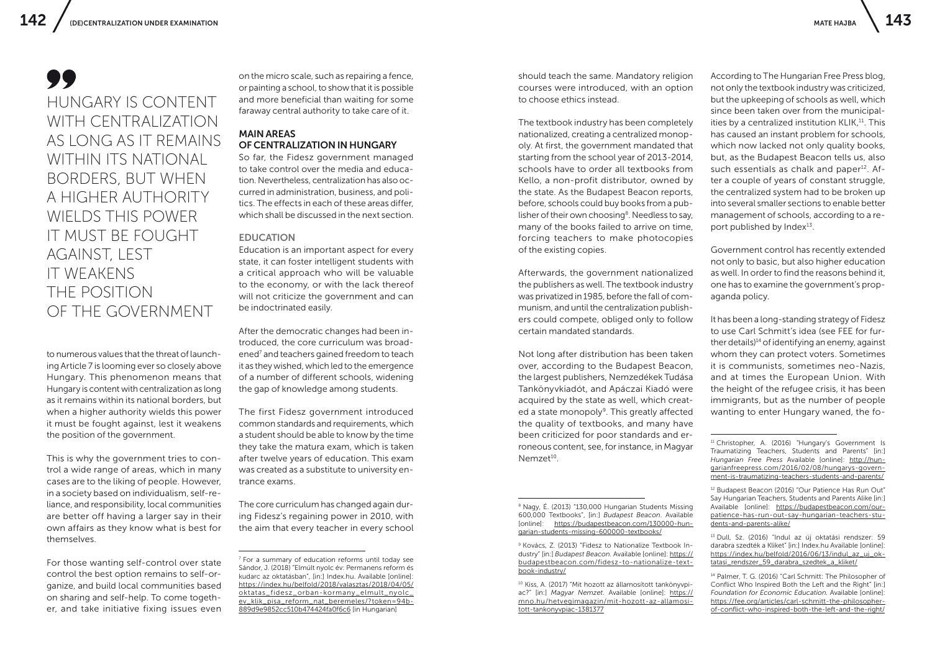## HUNGARY IS CONTENT WITH CENTRALIZATION AS LONG AS IT REMAINS WITHIN ITS NATIONAL BORDERS, BUT WHEN A HIGHER AUTHORITY WIELDS THIS POWER IT MUST BE FOUGHT AGAINST, LEST IT WEAKENS THE POSITION OF THE GOVERNMENT

to numerous values that the threat of launching Article 7 is looming ever so closely above Hungary. This phenomenon means that Hungary is content with centralization as long as it remains within its national borders, but when a higher authority wields this power it must be fought against, lest it weakens the position of the government.

This is why the government tries to control a wide range of areas, which in many cases are to the liking of people. However, in a society based on individualism, self-reliance, and responsibility, local communities are better off having a larger say in their own affairs as they know what is best for themselves.

For those wanting self-control over state control the best option remains to self-organize, and build local communities based on sharing and self-help. To come together, and take initiative fixing issues even

on the micro scale, such as repairing a fence, or painting a school, to show that it is possible and more beneficial than waiting for some faraway central authority to take care of it.

## MAIN AREAS OF CENTRALIZATION IN HUNGARY

So far, the Fidesz government managed to take control over the media and education. Nevertheless, centralization has also occurred in administration, business, and politics. The effects in each of these areas differ, which shall be discussed in the next section.

#### EDUCATION

Education is an important aspect for every state, it can foster intelligent students with a critical approach who will be valuable to the economy, or with the lack thereof will not criticize the government and can be indoctrinated easily.

After the democratic changes had been introduced, the core curriculum was broadened<sup>7</sup> and teachers gained freedom to teach it as they wished, which led to the emergence of a number of different schools, widening the gap of knowledge among students.

The first Fidesz government introduced common standards and requirements, which a student should be able to know by the time they take the matura exam, which is taken after twelve years of education. This exam was created as a substitute to university entrance exams.

The core curriculum has changed again during Fidesz's regaining power in 2010, with the aim that every teacher in every school should teach the same. Mandatory religion courses were introduced, with an option to choose ethics instead.

The textbook industry has been completely nationalized, creating a centralized monopoly. At first, the government mandated that starting from the school year of 2013-2014, schools have to order all textbooks from Kello, a non-profit distributor, owned by the state. As the Budapest Beacon reports, before, schools could buy books from a publisher of their own choosing<sup>8</sup>. Needless to say, many of the books failed to arrive on time, forcing teachers to make photocopies of the existing copies.

Afterwards, the government nationalized the publishers as well. The textbook industry was privatized in 1985, before the fall of communism, and until the centralization publishers could compete, obliged only to follow certain mandated standards.

Not long after distribution has been taken over, according to the Budapest Beacon, the largest publishers, Nemzedékek Tudása Tankönyvkiadót, and Apáczai Kiadó were acquired by the state as well, which created a state monopoly<sup>9</sup>. This greatly affected the quality of textbooks, and many have been criticized for poor standards and erroneous content, see, for instance, in Magyar Nemzet<sup>10</sup>

According to The Hungarian Free Press blog, not only the textbook industry was criticized, but the upkeeping of schools as well, which since been taken over from the municipalities by a centralized institution KLIK,<sup>11</sup>. This has caused an instant problem for schools, which now lacked not only quality books, but, as the Budapest Beacon tells us, also such essentials as chalk and paper<sup>12</sup>. After a couple of years of constant struggle, the centralized system had to be broken up into several smaller sections to enable better management of schools, according to a report published by Index<sup>13</sup>.

Government control has recently extended not only to basic, but also higher education as well. In order to find the reasons behind it, one has to examine the government's propaganda policy.

It has been a long-standing strategy of Fidesz to use Carl Schmitt's idea (see FEE for further details) $14$  of identifying an enemy, against whom they can protect voters. Sometimes it is communists, sometimes neo-Nazis, and at times the European Union. With the height of the refugee crisis, it has been immigrants, but as the number of people wanting to enter Hungary waned, the fo-

<sup>11</sup> Christopher, A. (2016) "Hungary's Government Is Traumatizing Teachers, Students and Parents" [in:] *Hungarian Free Press* Available [online]: [http://hun](http://hungarianfreepress.com/2016/02/08/hungarys-government-is-traumatizing-teachers-students-and-parents/)[garianfreepress.com/2016/02/08/hungarys-govern](http://hungarianfreepress.com/2016/02/08/hungarys-government-is-traumatizing-teachers-students-and-parents/)[ment-is-traumatizing-teachers-students-and-parents/](http://hungarianfreepress.com/2016/02/08/hungarys-government-is-traumatizing-teachers-students-and-parents/)

<sup>12</sup> Budapest Beacon (2016) "Our Patience Has Run Out" Say Hungarian Teachers, Students and Parents Alike [in:] Available [online]: [https://budapestbeacon.com/our](https://budapestbeacon.com/our-patience-has-run-out-say-hungarian-teachers-students-and-parents-alike/)[patience-has-run-out-say-hungarian-teachers-stu](https://budapestbeacon.com/our-patience-has-run-out-say-hungarian-teachers-students-and-parents-alike/)[dents-and-parents-alike/](https://budapestbeacon.com/our-patience-has-run-out-say-hungarian-teachers-students-and-parents-alike/)

<sup>13</sup> Dull, Sz. (2016) "Indul az új oktatási rendszer: 59 darabra szedték a Kliket" [in:] Index.hu Available [online]: [https://index.hu/belfold/2016/06/13/indul\\_az\\_uj\\_ok](https://index.hu/belfold/2016/06/13/indul_az_uj_oktatasi_rendszer_59_darabra_szedtek_a_kliket/)[tatasi\\_rendszer\\_59\\_darabra\\_szedtek\\_a\\_kliket/](https://index.hu/belfold/2016/06/13/indul_az_uj_oktatasi_rendszer_59_darabra_szedtek_a_kliket/)

<sup>14</sup> Palmer, T. G. (2016) "Carl Schmitt: The Philosopher of Conflict Who Inspired Both the Left and the Right" [in:] *Foundation for Economic Education.* Available [online]: [https://fee.org/articles/carl-schmitt-the-philosopher](https://fee.org/articles/carl-schmitt-the-philosopher-of-conflict-who-inspired-both-the-left-and-the-right/)[of-conflict-who-inspired-both-the-left-and-the-right/](https://fee.org/articles/carl-schmitt-the-philosopher-of-conflict-who-inspired-both-the-left-and-the-right/)

<sup>7</sup> For a summary of education reforms until today see Sándor, J. (2018) "Elmúlt nyolc év: Permanens reform és kudarc az oktatásban", [in:] Index.hu. Available [online]: [https://index.hu/belfold/2018/valasztas/2018/04/05/](https://index.hu/belfold/2018/valasztas/2018/04/05/oktatas_fidesz_orban-kormany_elmult_nyolc_ev_klik_pisa_reform_nat_beremeles/?token=94b889d9e9852cc510b474424fa0f6c6) [oktatas\\_fidesz\\_orban-kormany\\_elmult\\_nyolc\\_](https://index.hu/belfold/2018/valasztas/2018/04/05/oktatas_fidesz_orban-kormany_elmult_nyolc_ev_klik_pisa_reform_nat_beremeles/?token=94b889d9e9852cc510b474424fa0f6c6) [ev\\_klik\\_pisa\\_reform\\_nat\\_beremeles/?token=94b-](https://index.hu/belfold/2018/valasztas/2018/04/05/oktatas_fidesz_orban-kormany_elmult_nyolc_ev_klik_pisa_reform_nat_beremeles/?token=94b889d9e9852cc510b474424fa0f6c6)[889d9e9852cc510b474424fa0f6c6](https://index.hu/belfold/2018/valasztas/2018/04/05/oktatas_fidesz_orban-kormany_elmult_nyolc_ev_klik_pisa_reform_nat_beremeles/?token=94b889d9e9852cc510b474424fa0f6c6) [in Hungarian]

<sup>8</sup> Nagy, É. (2013) "130,000 Hungarian Students Missing 600,000 Textbooks", [in:] *Budapest Beacon*. Available [online]: [https://budapestbeacon.com/130000-hun](https://budapestbeacon.com/130000-hungarian-students-missing-600000-textbooks/)[garian-students-missing-600000-textbooks/](https://budapestbeacon.com/130000-hungarian-students-missing-600000-textbooks/)

<sup>9</sup> Kovács, Z. (2013) "Fidesz to Nationalize Textbook Industry" [in:] *Budapest Beacon.* Available [online]: [https://](https://budapestbeacon.com/fidesz-to-nationalize-textbook-industry/) [budapestbeacon.com/fidesz-to-nationalize-text](https://budapestbeacon.com/fidesz-to-nationalize-textbook-industry/)[book-industry/](https://budapestbeacon.com/fidesz-to-nationalize-textbook-industry/)

<sup>10</sup> Kiss, A. (2017) "Mit hozott az államosított tankönyvpiac?" [in:] *Magyar Nemzet*. Available [online]: [https://](https://mno.hu/hetvegimagazin/mit-hozott-az-allamositott-tankonyvpiac-1381377) [mno.hu/hetvegimagazin/mit-hozott-az-allamosi](https://mno.hu/hetvegimagazin/mit-hozott-az-allamositott-tankonyvpiac-1381377)[tott-tankonyvpiac-1381377](https://mno.hu/hetvegimagazin/mit-hozott-az-allamositott-tankonyvpiac-1381377)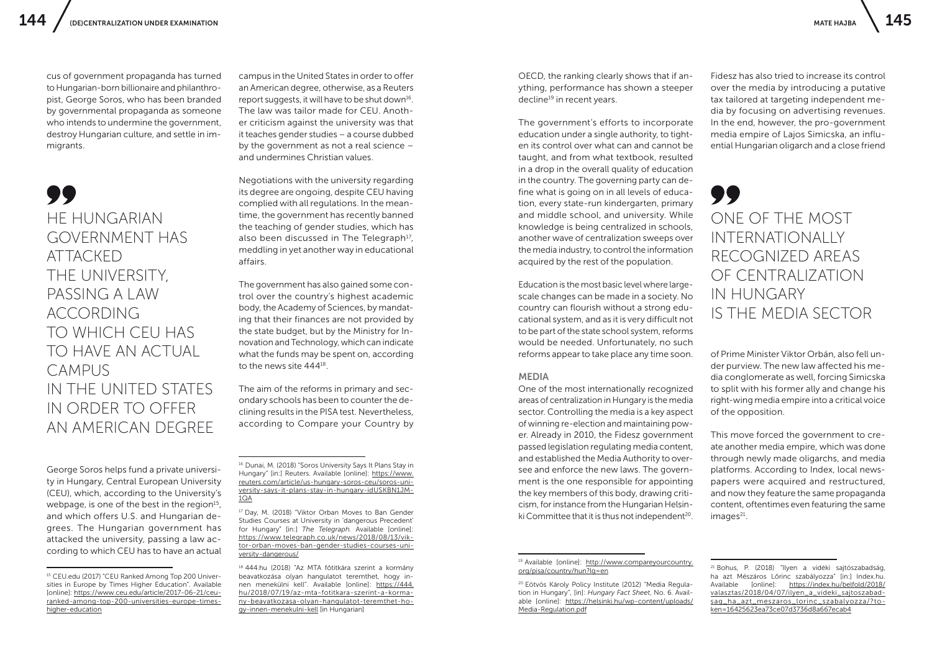cus of government propaganda has turned to Hungarian-born billionaire and philanthropist, George Soros, who has been branded by governmental propaganda as someone who intends to undermine the government, destroy Hungarian culture, and settle in immigrants.

## HE HUNGARIAN GOVERNMENT HAS ATTACKED THE UNIVERSITY, PASSING A LAW ACCORDING TO WHICH CEU HAS TO HAVE AN ACTUAL **CAMPUS** IN THE UNITED STATES IN ORDER TO OFFER AN AMERICAN DEGREE

George Soros helps fund a private university in Hungary, Central European University (CEU), which, according to the University's webpage, is one of the best in the region $15$ , and which offers U.S. and Hungarian degrees. The Hungarian government has attacked the university, passing a law according to which CEU has to have an actual

campus in the United States in order to offer an American degree, otherwise, as a Reuters report suggests, it will have to be shut down $16$ . The law was tailor made for CEU. Another criticism against the university was that it teaches gender studies – a course dubbed by the government as not a real science – and undermines Christian values.

Negotiations with the university regarding its degree are ongoing, despite CEU having complied with all regulations. In the meantime, the government has recently banned the teaching of gender studies, which has also been discussed in The Telegraph<sup>17</sup>, meddling in yet another way in educational affairs.

The government has also gained some control over the country's highest academic body, the Academy of Sciences, by mandating that their finances are not provided by the state budget, but by the Ministry for Innovation and Technology, which can indicate what the funds may be spent on, according to the news site 44418.

The aim of the reforms in primary and secondary schools has been to counter the declining results in the PISA test. Nevertheless, according to Compare your Country by

<sup>16</sup> Dunai, M. (2018) "Soros University Says It Plans Stay in Hungary" [in:] Reuters. Available [online]: [https://www.](https://www.reuters.com/article/us-hungary-soros-ceu/soros-university-says-it-plans-stay-in-hungary-idUSKBN1JM1QA) [reuters.com/article/us-hungary-soros-ceu/soros-uni](https://www.reuters.com/article/us-hungary-soros-ceu/soros-university-says-it-plans-stay-in-hungary-idUSKBN1JM1QA)[versity-says-it-plans-stay-in-hungary-idUSKBN1JM-](https://www.reuters.com/article/us-hungary-soros-ceu/soros-university-says-it-plans-stay-in-hungary-idUSKBN1JM1QA)[1QA](https://www.reuters.com/article/us-hungary-soros-ceu/soros-university-says-it-plans-stay-in-hungary-idUSKBN1JM1QA)

<sup>17</sup> Day, M. (2018) "Viktor Orban Moves to Ban Gender Studies Courses at University in 'dangerous Precedent' for Hungary" [in:] *The Telegraph.* Available [online]: [https://www.telegraph.co.uk/news/2018/08/13/vik](https://www.telegraph.co.uk/news/2018/08/13/viktor-orban-moves-ban-gender-studies-courses-university-dangerous/)[tor-orban-moves-ban-gender-studies-courses-uni](https://www.telegraph.co.uk/news/2018/08/13/viktor-orban-moves-ban-gender-studies-courses-university-dangerous/)[versity-dangerous/](https://www.telegraph.co.uk/news/2018/08/13/viktor-orban-moves-ban-gender-studies-courses-university-dangerous/)

<sup>18</sup> 444.hu (2018) "Az MTA főtitkára szerint a kormány beavatkozása olyan hangulatot teremthet, hogy innen menekülni kell". Available [online]: [https://444.](https://444.hu/2018/07/19/az-mta-fotitkara-szerint-a-kormany-beavatkozasa-olyan-hangulatot-teremthet-hogy-innen-menekulni-kell) [hu/2018/07/19/az-mta-fotitkara-szerint-a-korma](https://444.hu/2018/07/19/az-mta-fotitkara-szerint-a-kormany-beavatkozasa-olyan-hangulatot-teremthet-hogy-innen-menekulni-kell)[ny-beavatkozasa-olyan-hangulatot-teremthet-ho](https://444.hu/2018/07/19/az-mta-fotitkara-szerint-a-kormany-beavatkozasa-olyan-hangulatot-teremthet-hogy-innen-menekulni-kell)[gy-innen-menekulni-kell](https://444.hu/2018/07/19/az-mta-fotitkara-szerint-a-kormany-beavatkozasa-olyan-hangulatot-teremthet-hogy-innen-menekulni-kell) [in Hungarian]

OECD, the ranking clearly shows that if anything, performance has shown a steeper decline<sup>19</sup> in recent years.

The government's efforts to incorporate education under a single authority, to tighten its control over what can and cannot be taught, and from what textbook, resulted in a drop in the overall quality of education in the country. The governing party can define what is going on in all levels of education, every state-run kindergarten, primary and middle school, and university. While knowledge is being centralized in schools, another wave of centralization sweeps over the media industry, to control the information acquired by the rest of the population.

Education is the most basic level where largescale changes can be made in a society. No country can flourish without a strong educational system, and as it is very difficult not to be part of the state school system, reforms would be needed. Unfortunately, no such reforms appear to take place any time soon.

#### MEDIA

One of the most internationally recognized areas of centralization in Hungary is the media sector. Controlling the media is a key aspect of winning re-election and maintaining power. Already in 2010, the Fidesz government passed legislation regulating media content, and established the Media Authority to oversee and enforce the new laws. The government is the one responsible for appointing the key members of this body, drawing criticism, for instance from the Hungarian Helsinki Committee that it is thus not independent<sup>20</sup>.

Fidesz has also tried to increase its control over the media by introducing a putative tax tailored at targeting independent media by focusing on advertising revenues. In the end, however, the pro-government media empire of Lajos Simicska, an influential Hungarian oligarch and a close friend

## 99 ONE OF THE MOST INTERNATIONALLY RECOGNIZED AREAS OF CENTRALIZATION IN HUNGARY IS THE MEDIA SECTOR

of Prime Minister Viktor Orbán, also fell under purview. The new law affected his media conglomerate as well, forcing Simicska to split with his former ally and change his right-wing media empire into a critical voice of the opposition.

This move forced the government to create another media empire, which was done through newly made oligarchs, and media platforms. According to Index, local newspapers were acquired and restructured, and now they feature the same propaganda content, oftentimes even featuring the same  $images<sup>21</sup>$ .

19 Available [online]: [http://www.compareyourcountry.](http://www.compareyourcountry.org/pisa/country/hun?lg=en) [org/pisa/country/hun?lg=en](http://www.compareyourcountry.org/pisa/country/hun?lg=en)

<sup>20</sup> Eötvös Károly Policy Institute (2012) "Media Regulation in Hungary", [in]: *Hungary Fact Sheet*, No. 6. Available [online]: [https://helsinki.hu/wp-content/uploads/](https://helsinki.hu/wp-content/uploads/Media-Regulation.pdf) [Media-Regulation.pdf](https://helsinki.hu/wp-content/uploads/Media-Regulation.pdf)

<sup>21</sup> Bohus, P. (2018) "Ilyen a vidéki sajtószabadság, ha azt Mészáros Lőrinc szabályozza" [in:] Index.hu. Available [online]: [https://index.hu/belfold/2018/](https://index.hu/belfold/2018/valasztas/2018/04/07/ilyen_a_videki_sajtoszabadsag_ha_azt_meszaros_lorinc_szabalyozza/?token=16425623ea73ce07d3736d8a667ecab4) [valasztas/2018/04/07/ilyen\\_a\\_videki\\_sajtoszabad](https://index.hu/belfold/2018/valasztas/2018/04/07/ilyen_a_videki_sajtoszabadsag_ha_azt_meszaros_lorinc_szabalyozza/?token=16425623ea73ce07d3736d8a667ecab4)[sag\\_ha\\_azt\\_meszaros\\_lorinc\\_szabalyozza/?to](https://index.hu/belfold/2018/valasztas/2018/04/07/ilyen_a_videki_sajtoszabadsag_ha_azt_meszaros_lorinc_szabalyozza/?token=16425623ea73ce07d3736d8a667ecab4)[ken=16425623ea73ce07d3736d8a667ecab4](https://index.hu/belfold/2018/valasztas/2018/04/07/ilyen_a_videki_sajtoszabadsag_ha_azt_meszaros_lorinc_szabalyozza/?token=16425623ea73ce07d3736d8a667ecab4)

<sup>15</sup> CEU.edu (2017) "CEU Ranked Among Top 200 Universities in Europe by Times Higher Education". Available [online]: [https://www.ceu.edu/article/2017-06-21/ceu](https://www.ceu.edu/article/2017-06-21/ceu-ranked-among-top-200-universities-europe-times-higher-education)[ranked-among-top-200-universities-europe-times](https://www.ceu.edu/article/2017-06-21/ceu-ranked-among-top-200-universities-europe-times-higher-education)[higher-education](https://www.ceu.edu/article/2017-06-21/ceu-ranked-among-top-200-universities-europe-times-higher-education)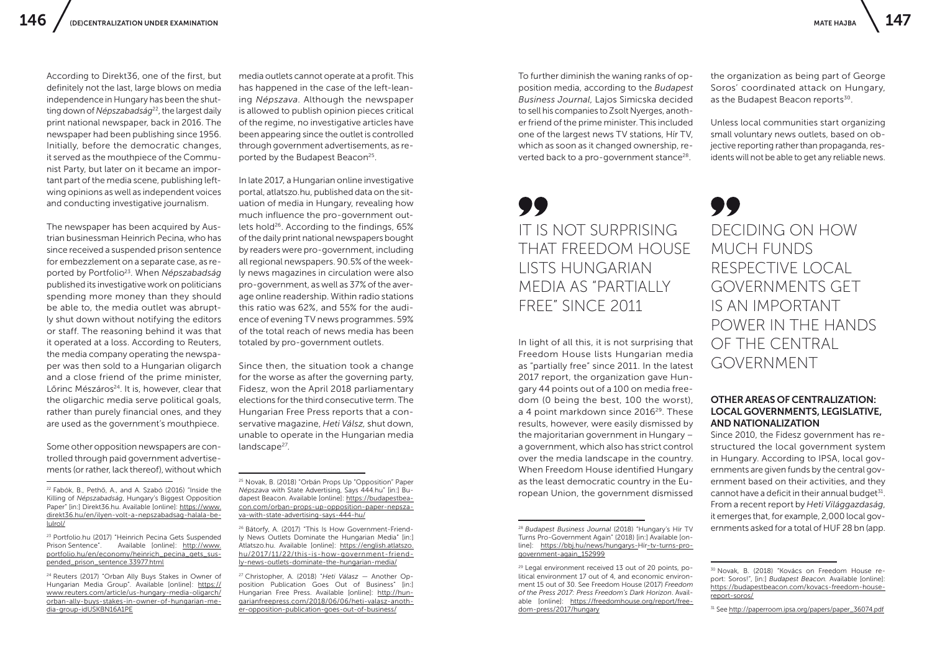According to Direkt36, one of the first, but definitely not the last, large blows on media independence in Hungary has been the shutting down of *Népszabadság*<sup>22</sup>, the largest daily print national newspaper, back in 2016. The newspaper had been publishing since 1956. Initially, before the democratic changes, it served as the mouthpiece of the Communist Party, but later on it became an important part of the media scene, publishing leftwing opinions as well as independent voices and conducting investigative journalism.

The newspaper has been acquired by Austrian businessman Heinrich Pecina, who has since received a suspended prison sentence for embezzlement on a separate case, as reported by Portfolio23. When *Népszabadság*  published its investigative work on politicians spending more money than they should be able to, the media outlet was abruptly shut down without notifying the editors or staff. The reasoning behind it was that it operated at a loss. According to Reuters, the media company operating the newspaper was then sold to a Hungarian oligarch and a close friend of the prime minister, Lőrinc Mészáros<sup>24</sup>. It is, however, clear that the oligarchic media serve political goals, rather than purely financial ones, and they are used as the government's mouthpiece.

Some other opposition newspapers are controlled through paid government advertisements (or rather, lack thereof), without which

<sup>23</sup> Portfolio.hu (2017) "Heinrich Pecina Gets Suspended<br>Prison Sentence". Available Tonlinel: http://www. Available [online]: [http://www.](http://www.portfolio.hu/en/economy/heinrich_pecina_gets_suspended_prison_sentence.33977.html) [portfolio.hu/en/economy/heinrich\\_pecina\\_gets\\_sus](http://www.portfolio.hu/en/economy/heinrich_pecina_gets_suspended_prison_sentence.33977.html)[pended\\_prison\\_sentence.33977.html](http://www.portfolio.hu/en/economy/heinrich_pecina_gets_suspended_prison_sentence.33977.html)

<sup>24</sup> Reuters (2017) "Orban Ally Buys Stakes in Owner of Hungarian Media Group". Available [online]: [https://](https://www.reuters.com/article/us-hungary-media-oligarch/orban-ally-buys-stakes-in-owner-of-hungarian-media-group-idUSKBN16A1PE) [www.reuters.com/article/us-hungary-media-oligarch/](https://www.reuters.com/article/us-hungary-media-oligarch/orban-ally-buys-stakes-in-owner-of-hungarian-media-group-idUSKBN16A1PE) [orban-ally-buys-stakes-in-owner-of-hungarian-me](https://www.reuters.com/article/us-hungary-media-oligarch/orban-ally-buys-stakes-in-owner-of-hungarian-media-group-idUSKBN16A1PE)[dia-group-idUSKBN16A1PE](https://www.reuters.com/article/us-hungary-media-oligarch/orban-ally-buys-stakes-in-owner-of-hungarian-media-group-idUSKBN16A1PE)

In late 2017, a Hungarian online investigative portal, atlatszo.hu, published data on the situation of media in Hungary, revealing how much influence the pro-government outlets hold<sup>26</sup>. According to the findings, 65% of the daily print national newspapers bought by readers were pro-government, including all regional newspapers. 90.5% of the weekly news magazines in circulation were also pro-government, as well as 37% of the average online readership. Within radio stations this ratio was 62%, and 55% for the audience of evening TV news programmes. 59% of the total reach of news media has been totaled by pro-government outlets.

Since then, the situation took a change for the worse as after the governing party, Fidesz, won the April 2018 parliamentary elections for the third consecutive term. The Hungarian Free Press reports that a conservative magazine, *Heti Válsz,* shut down, unable to operate in the Hungarian media landscape<sup>27</sup>.

<sup>27</sup> Christopher, A. (2018) "*Heti Válasz* — Another Opposition Publication Goes Out of Business" [in:] Hungarian Free Press. Available [online]: [http://hun](http://hungarianfreepress.com/2018/06/06/heti-valasz-another-opposition-publication-goes-out-of-business/)[garianfreepress.com/2018/06/06/heti-valasz-anoth](http://hungarianfreepress.com/2018/06/06/heti-valasz-another-opposition-publication-goes-out-of-business/)[er-opposition-publication-goes-out-of-business/](http://hungarianfreepress.com/2018/06/06/heti-valasz-another-opposition-publication-goes-out-of-business/)

To further diminish the waning ranks of opposition media, according to the *Budapest Business Journal*, Lajos Simicska decided to sell his companies to Zsolt Nyerges, another friend of the prime minister. This included one of the largest news TV stations, Hír TV, which as soon as it changed ownership, reverted back to a pro-government stance<sup>28</sup>.

## IT IS NOT SURPRISING THAT FREEDOM HOUSE LISTS HUNGARIAN MEDIA AS "PARTIALLY FREE" SINCE 2011

In light of all this, it is not surprising that Freedom House lists Hungarian media as "partially free" since 2011. In the latest 2017 report, the organization gave Hungary 44 points out of a 100 on media freedom (0 being the best, 100 the worst), a 4 point markdown since 2016<sup>29</sup>. These results, however, were easily dismissed by the majoritarian government in Hungary – a government, which also has strict control over the media landscape in the country. When Freedom House identified Hungary as the least democratic country in the European Union, the government dismissed

<sup>28</sup> *Budapest Business Journal* (2018) "Hungary's Hír TV Turns Pro-Government Again" (2018) [in:] Available [online]: [https://bbj.hu/news/hungarys-](https://bbj.hu/news/hungarys-hir-tv-turns-pro-government-again_152999)Hí[r-tv-turns-pro](https://bbj.hu/news/hungarys-hir-tv-turns-pro-government-again_152999)[government-again\\_152999](https://bbj.hu/news/hungarys-hir-tv-turns-pro-government-again_152999)

the organization as being part of George Soros' coordinated attack on Hungary, as the Budapest Beacon reports<sup>30</sup>.

Unless local communities start organizing small voluntary news outlets, based on objective reporting rather than propaganda, residents will not be able to get any reliable news.

DECIDING ON HOW MUCH FUNDS RESPECTIVE LOCAL GOVERNMENTS GET IS AN IMPORTANT POWER IN THE HANDS OF THE CENTRAL GOVERNMENT

### OTHER AREAS OF CENTRALIZATION: LOCAL GOVERNMENTS, LEGISLATIVE, AND NATIONALIZATION

Since 2010, the Fidesz government has restructured the local government system in Hungary. According to IPSA, local governments are given funds by the central government based on their activities, and they cannot have a deficit in their annual budget  $31$ . From a recent report by *Heti Világgazdaság*, it emerges that, for example, 2,000 local governments asked for a total of HUF 28 bn (app.

<sup>22</sup> Fabók, B., Pethő, A., and A. Szabó (2016) "Inside the Killing of *Népszabadság*, Hungary's Biggest Opposition Paper" [in:] Direkt36.hu. Available [online]: [https://www.](https://www.direkt36.hu/en/ilyen-volt-a-nepszabadsag-halala-belulrol/) [direkt36.hu/en/ilyen-volt-a-nepszabadsag-halala-be](https://www.direkt36.hu/en/ilyen-volt-a-nepszabadsag-halala-belulrol/)[lulrol/](https://www.direkt36.hu/en/ilyen-volt-a-nepszabadsag-halala-belulrol/)

media outlets cannot operate at a profit. This has happened in the case of the left-leaning *Népszava*. Although the newspaper is allowed to publish opinion pieces critical of the regime, no investigative articles have been appearing since the outlet is controlled through government advertisements, as reported by the Budapest Beacon<sup>25</sup>.

<sup>25</sup> Novak, B. (2018) "Orbán Props Up "Opposition" Paper *Népszava* with State Advertising, Says 444.hu" [in:] Budapest Beacon. Available [online]: [https://budapestbea](https://budapestbeacon.com/orban-props-up-opposition-paper-nepszava-with-state-advertising-says-444-hu/)[con.com/orban-props-up-opposition-paper-nepsza](https://budapestbeacon.com/orban-props-up-opposition-paper-nepszava-with-state-advertising-says-444-hu/)[va-with-state-advertising-says-444-hu/](https://budapestbeacon.com/orban-props-up-opposition-paper-nepszava-with-state-advertising-says-444-hu/)

<sup>26</sup> Bátorfy, A. (2017) "This Is How Government-Friendly News Outlets Dominate the Hungarian Media" [in:] Atlatszo.hu. Available [online]: [https://english.atlatszo.](https://english.atlatszo.hu/2017/11/22/this-is-how-government-friendly-news-outlets-dominate-the-hungarian-media/) [hu/2017/11/22/this-is-how-government-friend](https://english.atlatszo.hu/2017/11/22/this-is-how-government-friendly-news-outlets-dominate-the-hungarian-media/)[ly-news-outlets-dominate-the-hungarian-media/](https://english.atlatszo.hu/2017/11/22/this-is-how-government-friendly-news-outlets-dominate-the-hungarian-media/)

<sup>29</sup> Legal environment received 13 out of 20 points, political environment 17 out of 4, and economic environment 15 out of 30. See Freedom House (2017) *Freedom of the Press 2017: Press Freedom's Dark Horizon*. Available [online]: [https://freedomhouse.org/report/free](https://freedomhouse.org/report/freedom-press/2017/hungary)[dom-press/2017/hungary](https://freedomhouse.org/report/freedom-press/2017/hungary)

<sup>30</sup> Novak, B. (2018) "Kovács on Freedom House report: Soros!", [in:] *Budapest Beacon.* Available [online]: [https://budapestbeacon.com/kovacs-freedom-house](https://budapestbeacon.com/kovacs-freedom-house-report-soros/)[report-soros/](https://budapestbeacon.com/kovacs-freedom-house-report-soros/)

<sup>&</sup>lt;sup>31</sup> See http://paperroom.jpsa.org/papers/paper\_36074.pdf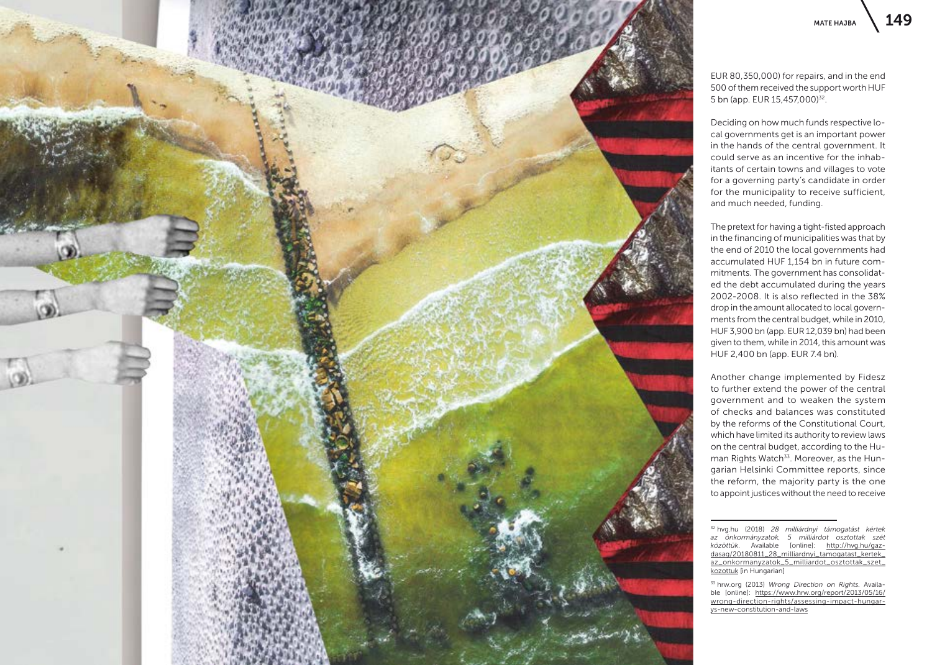

EUR 80,350,000) for repairs, and in the end 500 of them received the support worth HUF 5 bn (app. EUR 15,457,000)32.

Deciding on how much funds respective local governments get is an important power in the hands of the central government. It could serve as an incentive for the inhabitants of certain towns and villages to vote for a governing party's candidate in order for the municipality to receive sufficient, and much needed, funding.

The pretext for having a tight-fisted approach in the financing of municipalities was that by the end of 2010 the local governments had accumulated HUF 1,154 bn in future commitments. The government has consolidated the debt accumulated during the years 2002-2008. It is also reflected in the 38% drop in the amount allocated to local governments from the central budget, while in 2010, HUF 3,900 bn (app. EUR 12,039 bn) had been given to them, while in 2014, this amount was HUF 2,400 bn (app. EUR 7.4 bn).

Another change implemented by Fidesz to further extend the power of the central government and to weaken the system of checks and balances was constituted by the reforms of the Constitutional Court, which have limited its authority to review laws on the central budget, according to the Human Rights Watch<sup>33</sup>. Moreover, as the Hungarian Helsinki Committee reports, since the reform, the majority party is the one to appoint justices without the need to receive

<sup>32</sup> hvg.hu (2018) *28 milliárdnyi támogatást kértek az önkormányzatok, 5 milliárdot osztottak szét közöttük*. Available [online]: [http://hvg.hu/gaz](http://hvg.hu/gazdasag/20180811_28_milliardnyi_tamogatast_kertek_az_onkormanyzatok_5_milliardot_osztottak_szet_kozottuk)[dasag/20180811\\_28\\_milliardnyi\\_tamogatast\\_kertek\\_](http://hvg.hu/gazdasag/20180811_28_milliardnyi_tamogatast_kertek_az_onkormanyzatok_5_milliardot_osztottak_szet_kozottuk) [az\\_onkormanyzatok\\_5\\_milliardot\\_osztottak\\_szet\\_](http://hvg.hu/gazdasag/20180811_28_milliardnyi_tamogatast_kertek_az_onkormanyzatok_5_milliardot_osztottak_szet_kozottuk) [kozottuk](http://hvg.hu/gazdasag/20180811_28_milliardnyi_tamogatast_kertek_az_onkormanyzatok_5_milliardot_osztottak_szet_kozottuk) [in Hungarian]

<sup>33</sup> hrw.org (2013) *Wrong Direction on Rights.* Available [online]: [https://www.hrw.org/report/2013/05/16/](https://www.hrw.org/report/2013/05/16/wrong-direction-rights/assessing-impact-hungarys-new-constitution-and-laws) [wrong-direction-rights/assessing-impact-hungar](https://www.hrw.org/report/2013/05/16/wrong-direction-rights/assessing-impact-hungarys-new-constitution-and-laws)[ys-new-constitution-and-laws](https://www.hrw.org/report/2013/05/16/wrong-direction-rights/assessing-impact-hungarys-new-constitution-and-laws)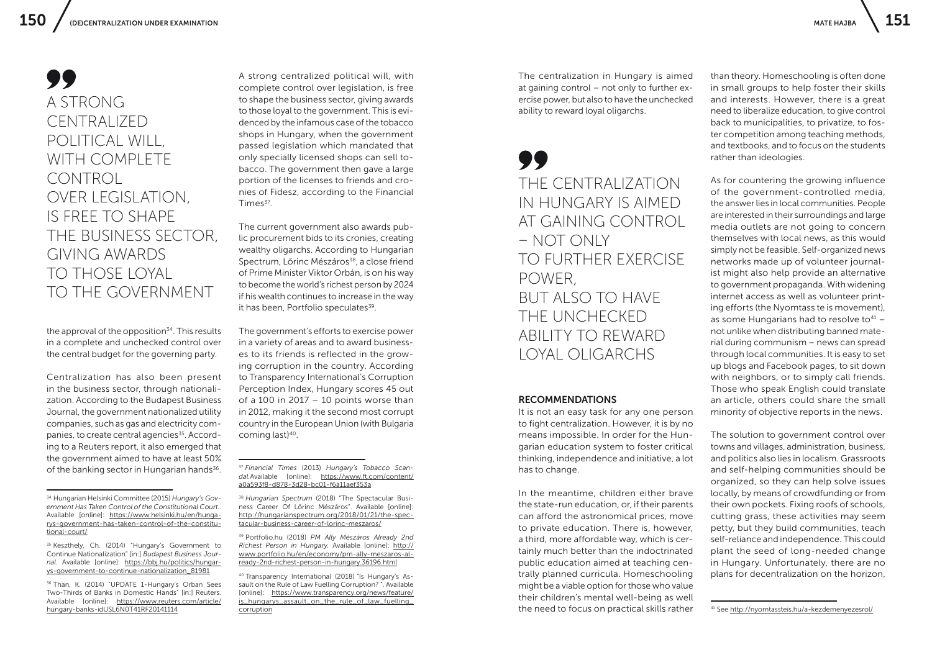## A STRONG CENTRALIZED POLITICAL WILL, WITH COMPI FTF **CONTROL** OVER LEGISLATION, IS FREE TO SHAPE THE BUSINESS SECTOR, GIVING AWARDS TO THOSE LOYAL TO THE GOVERNMENT

the approval of the opposition $34$ . This results in a complete and unchecked control over the central budget for the governing party.

Centralization has also been present in the business sector, through nationalization. According to the Budapest Business Journal, the government nationalized utility companies, such as gas and electricity companies, to create central agencies<sup>35</sup>. According to a Reuters report, it also emerged that the government aimed to have at least 50% of the banking sector in Hungarian hands<sup>36</sup>.

<sup>35</sup> Keszthely, Ch. (2014) "Hungary's Government to Continue Nationalization" [in:] *Budapest Business Journal*. Available [online]: [https://bbj.hu/politics/hungar](https://bbj.hu/politics/hungarys-government-to-continue-nationalization_81981)[ys-government-to-continue-nationalization\\_81981](https://bbj.hu/politics/hungarys-government-to-continue-nationalization_81981)

<sup>36</sup> Than, K. (2014) "UPDATE 1-Hungary's Orban Sees Two-Thirds of Banks in Domestic Hands" [in:] Reuters. Available [online]: [https://www.reuters.com/article/](https://www.reuters.com/article/hungary-banks-idUSL6N0T41RF20141114) [hungary-banks-idUSL6N0T41RF20141114](https://www.reuters.com/article/hungary-banks-idUSL6N0T41RF20141114)

A strong centralized political will, with complete control over legislation, is free to shape the business sector, giving awards to those loyal to the government. This is evidenced by the infamous case of the tobacco shops in Hungary, when the government passed legislation which mandated that only specially licensed shops can sell tobacco. The government then gave a large portion of the licenses to friends and cronies of Fidesz, according to the Financial Times<sup>37</sup>.

The current government also awards public procurement bids to its cronies, creating wealthy oligarchs. According to Hungarian Spectrum, Lőrinc Mészáros<sup>38</sup>, a close friend of Prime Minister Viktor Orbán, is on his way to become the world's richest person by 2024 if his wealth continues to increase in the way it has been, Portfolio speculates<sup>39</sup>.

The government's efforts to exercise power in a variety of areas and to award businesses to its friends is reflected in the growing corruption in the country. According to Transparency International's Corruption Perception Index, Hungary scores 45 out of a 100 in 2017 – 10 points worse than in 2012, making it the second most corrupt country in the European Union (with Bulgaria coming last)40.

<sup>39</sup> Portfolio.hu (2018) *PM Ally Mészáros Already 2nd Richest Person in Hungary.* Available [online]: [http://](http://www.portfolio.hu/en/economy/pm-ally-meszaros-already-2nd-richest-person-in-hungary.36196.html) [www.portfolio.hu/en/economy/pm-ally-meszaros-al](http://www.portfolio.hu/en/economy/pm-ally-meszaros-already-2nd-richest-person-in-hungary.36196.html)[ready-2nd-richest-person-in-hungary.36196.html](http://www.portfolio.hu/en/economy/pm-ally-meszaros-already-2nd-richest-person-in-hungary.36196.html)

<sup>40</sup> Transparency International (2018) "Is Hungary's Assault on the Rule of Law Fuelling Corruption? ". Available [online]: [https://www.transparency.org/news/feature/](https://www.transparency.org/news/feature/is_hungarys_assault_on_the_rule_of_law_fuelling_corruption) [is\\_hungarys\\_assault\\_on\\_the\\_rule\\_of\\_law\\_fuelling\\_](https://www.transparency.org/news/feature/is_hungarys_assault_on_the_rule_of_law_fuelling_corruption) [corruption](https://www.transparency.org/news/feature/is_hungarys_assault_on_the_rule_of_law_fuelling_corruption)

The centralization in Hungary is aimed at gaining control – not only to further exercise power, but also to have the unchecked ability to reward loyal oligarchs.

## THE CENTRALIZATION IN HUNGARY IS AIMED AT GAINING CONTROL – NOT ONLY TO FURTHER EXERCISE POWER, BUT ALSO TO HAVE THE UNCHECKED ABILITY TO REWARD LOYAL OLIGARCHS

#### RECOMMENDATIONS

It is not an easy task for any one person to fight centralization. However, it is by no means impossible. In order for the Hungarian education system to foster critical thinking, independence and initiative, a lot has to change.

In the meantime, children either brave the state-run education, or, if their parents can afford the astronomical prices, move to private education. There is, however, a third, more affordable way, which is certainly much better than the indoctrinated public education aimed at teaching centrally planned curricula. Homeschooling might be a viable option for those who value their children's mental well-being as well the need to focus on practical skills rather

than theory. Homeschooling is often done in small groups to help foster their skills and interests. However, there is a great need to liberalize education, to give control back to municipalities, to privatize, to foster competition among teaching methods, and textbooks, and to focus on the students rather than ideologies.

As for countering the growing influence of the government-controlled media, the answer lies in local communities. People are interested in their surroundings and large media outlets are not going to concern themselves with local news, as this would simply not be feasible. Self-organized news networks made up of volunteer journalist might also help provide an alternative to government propaganda. With widening internet access as well as volunteer printing efforts (the Nyomtass te is movement), as some Hungarians had to resolve to $41$ not unlike when distributing banned material during communism – news can spread through local communities. It is easy to set up blogs and Facebook pages, to sit down with neighbors, or to simply call friends. Those who speak English could translate an article, others could share the small minority of objective reports in the news.

The solution to government control over towns and villages, administration, business, and politics also lies in localism. Grassroots and self-helping communities should be organized, so they can help solve issues locally, by means of crowdfunding or from their own pockets. Fixing roofs of schools, cutting grass, these activities may seem petty, but they build communities, teach self-reliance and independence. This could plant the seed of long-needed change in Hungary. Unfortunately, there are no plans for decentralization on the horizon,

<sup>34</sup> Hungarian Helsinki Committee (2015) *Hungary's Government Has Taken Control of the Constitutional Court*.. Available [online]: [https://www.helsinki.hu/en/hunga](https://www.helsinki.hu/en/hungarys-government-has-taken-control-of-the-constitutional-court/)[rys-government-has-taken-control-of-the-constitu](https://www.helsinki.hu/en/hungarys-government-has-taken-control-of-the-constitutional-court/)[tional-court/](https://www.helsinki.hu/en/hungarys-government-has-taken-control-of-the-constitutional-court/)

<sup>37</sup> *Financial Times* (2013) *Hungary's Tobacco Scandal.*Available [online]: [https://www.ft.com/content/](https://www.ft.com/content/a0a593f8-d878-3d28-bc01-f6a11aef353a) [a0a593f8-d878-3d28-bc01-f6a11aef353a](https://www.ft.com/content/a0a593f8-d878-3d28-bc01-f6a11aef353a)

<sup>38</sup> *Hungarian Spectrum* (2018) "The Spectacular Business Career Of Lőrinc Mészáros". Available [online]: [http://hungarianspectrum.org/2018/01/21/the-spec](http://hungarianspectrum.org/2018/01/21/the-spectacular-business-career-of-lorinc-meszaros/)[tacular-business-career-of-lorinc-meszaros/](http://hungarianspectrum.org/2018/01/21/the-spectacular-business-career-of-lorinc-meszaros/)

<sup>41</sup> See<http://nyomtassteis.hu/a-kezdemenyezesrol/>